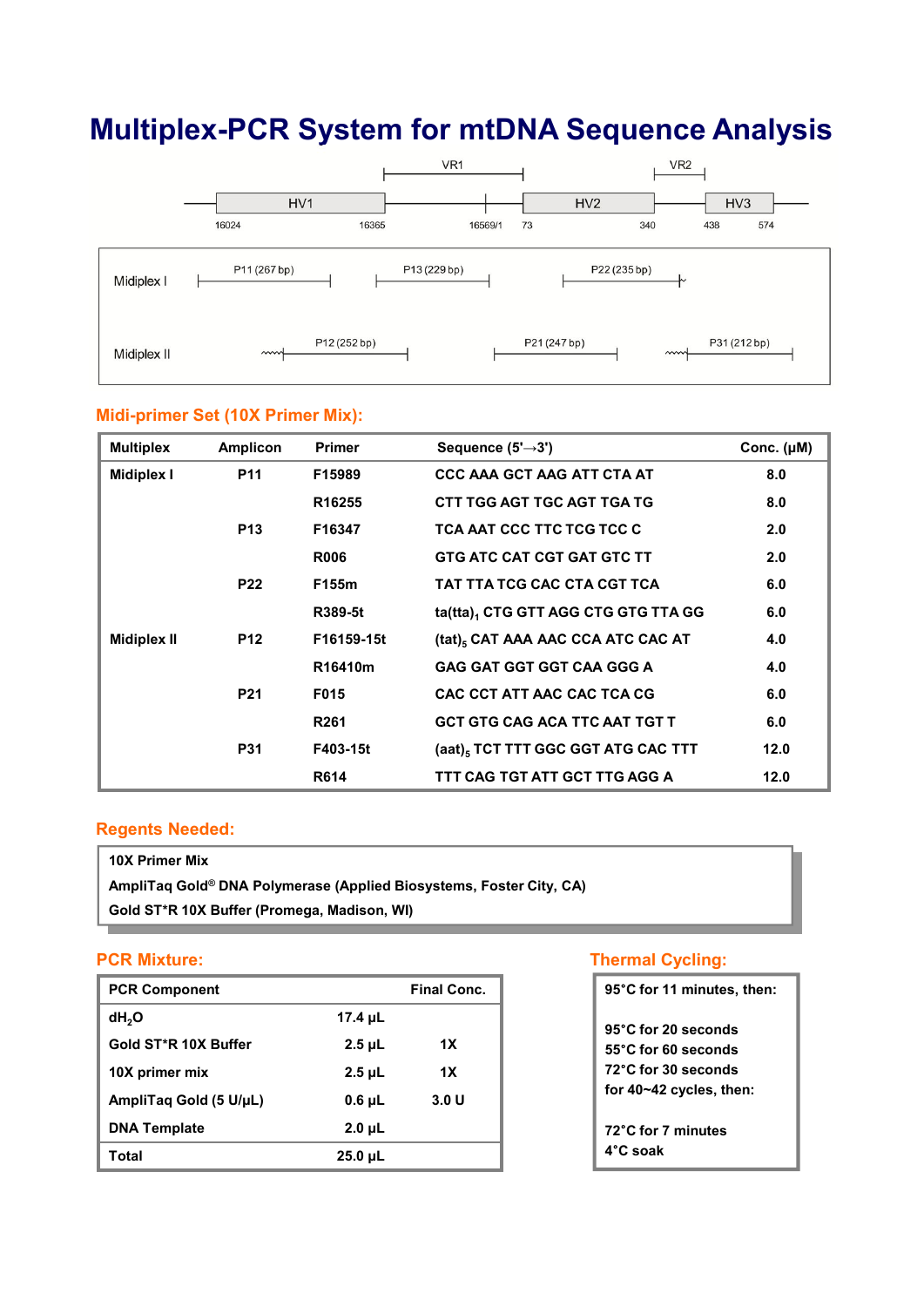# **Multiplex-PCR System for mtDNA Sequence Analysis**



#### **Midi-primer Set (10X Primer Mix):**

| <b>Multiplex</b>   | <b>Amplicon</b> | <b>Primer</b>    | Sequence $(5' \rightarrow 3')$                 | Conc. $(\mu M)$ |
|--------------------|-----------------|------------------|------------------------------------------------|-----------------|
| <b>Midiplex I</b>  | <b>P11</b>      | F15989           | <b>CCC AAA GCT AAG ATT CTA AT</b>              | 8.0             |
|                    |                 | R16255           | CTT TGG AGT TGC AGT TGA TG                     | 8.0             |
|                    | <b>P13</b>      | F16347           | TCA AAT CCC TTC TCG TCC C                      | 2.0             |
|                    |                 | <b>R006</b>      | <b>GTG ATC CAT CGT GAT GTC TT</b>              | 2.0             |
|                    | <b>P22</b>      | F155m            | TAT TTA TCG CAC CTA CGT TCA                    | 6.0             |
|                    |                 | R389-5t          | ta(tta), CTG GTT AGG CTG GTG TTA GG            | 6.0             |
| <b>Midiplex II</b> | <b>P12</b>      | F16159-15t       | (tat) <sub>5</sub> CAT AAA AAC CCA ATC CAC AT  | 4.0             |
|                    |                 | R16410m          | <b>GAG GAT GGT GGT CAA GGG A</b>               | 4.0             |
|                    | <b>P21</b>      | F015             | CAC CCT ATT AAC CAC TCA CG                     | 6.0             |
|                    |                 | R <sub>261</sub> | <b>GCT GTG CAG ACA TTC AAT TGT T</b>           | 6.0             |
|                    | <b>P31</b>      | F403-15t         | (aat) <sub>5</sub> TCT TTT GGC GGT ATG CAC TTT | 12.0            |
|                    |                 | R614             | TTT CAG TGT ATT GCT TTG AGG A                  | 12.0            |

#### **Regents Needed:**

| 10X Primer Mix                                                      |  |
|---------------------------------------------------------------------|--|
| AmpliTaq Gold® DNA Polymerase (Applied Biosystems, Foster City, CA) |  |
| Gold ST*R 10X Buffer (Promega, Madison, WI)                         |  |
|                                                                     |  |

### **PCR Mixture:**

| <b>PCR Component</b>   |              | <b>Final Conc.</b> |
|------------------------|--------------|--------------------|
| dH <sub>2</sub> O      | 17.4 $\mu$ L |                    |
| Gold ST*R 10X Buffer   | $2.5$ µL     | 1X                 |
| 10X primer mix         | $2.5$ µL     | 1X                 |
| AmpliTag Gold (5 U/µL) | $0.6$ µL     | 3.0 U              |
| <b>DNA Template</b>    | $2.0 \mu L$  |                    |
| Total                  | $25.0 \mu L$ |                    |

#### **Thermal Cycling:**

| 95°C for 11 minutes, then: |
|----------------------------|
| 95°C for 20 seconds        |
| 55°C for 60 seconds        |
| 72°C for 30 seconds        |
| for 40~42 cycles, then:    |
| 72°C for 7 minutes         |
| 4°C soak                   |
|                            |